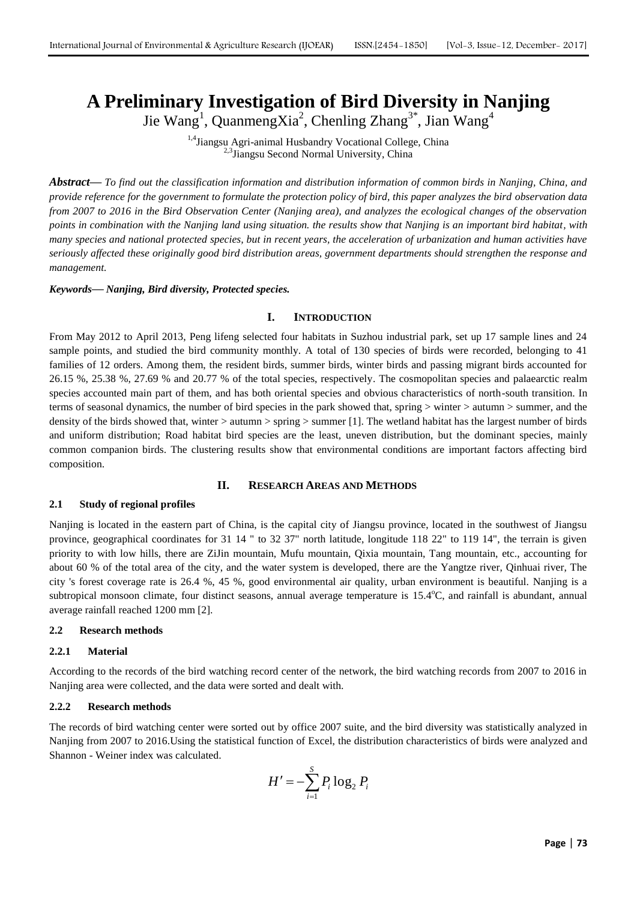# **A Preliminary Investigation of Bird Diversity in Nanjing**

Jie Wang<sup>1</sup>, QuanmengXia<sup>2</sup>, Chenling Zhang<sup>3\*</sup>, Jian Wang<sup>4</sup>

<sup>1,4</sup>Jiangsu Agri-animal Husbandry Vocational College, China <sup>2,3</sup>Jiangsu Second Normal University, China

*Abstract***—** *To find out the classification information and distribution information of common birds in Nanjing, China, and provide reference for the government to formulate the protection policy of bird, this paper analyzes the bird observation data from 2007 to 2016 in the Bird Observation Center (Nanjing area), and analyzes the ecological changes of the observation points in combination with the Nanjing land using situation. the results show that Nanjing is an important bird habitat, with many species and national protected species, but in recent years, the acceleration of urbanization and human activities have seriously affected these originally good bird distribution areas, government departments should strengthen the response and management.*

*Keywords***—** *Nanjing, Bird diversity, Protected species.*

## **I. INTRODUCTION**

From May 2012 to April 2013, Peng lifeng selected four habitats in Suzhou industrial park, set up 17 sample lines and 24 sample points, and studied the bird community monthly. A total of 130 species of birds were recorded, belonging to 41 families of 12 orders. Among them, the resident birds, summer birds, winter birds and passing migrant birds accounted for 26.15 %, 25.38 %, 27.69 % and 20.77 % of the total species, respectively. The cosmopolitan species and palaearctic realm species accounted main part of them, and has both oriental species and obvious characteristics of north-south transition. In terms of seasonal dynamics, the number of bird species in the park showed that, spring > winter > autumn > summer, and the density of the birds showed that, winter > autumn > spring > summer [1]. The wetland habitat has the largest number of birds and uniform distribution; Road habitat bird species are the least, uneven distribution, but the dominant species, mainly common companion birds. The clustering results show that environmental conditions are important factors affecting bird composition.

## **II. RESEARCH AREAS AND METHODS**

## **2.1 Study of regional profiles**

Nanjing is located in the eastern part of China, is the capital city of Jiangsu province, located in the southwest of Jiangsu province, geographical coordinates for 31 14 " to 32 37" north latitude, longitude 118 22" to 119 14", the terrain is given priority to with low hills, there are ZiJin mountain, Mufu mountain, Qixia mountain, Tang mountain, etc., accounting for about 60 % of the total area of the city, and the water system is developed, there are the Yangtze river, Qinhuai river, The city 's forest coverage rate is 26.4 %, 45 %, good environmental air quality, urban environment is beautiful. Nanjing is a subtropical monsoon climate, four distinct seasons, annual average temperature is 15.4°C, and rainfall is abundant, annual average rainfall reached 1200 mm [2].

## **2.2 Research methods**

# **2.2.1 Material**

According to the records of the bird watching record center of the network, the bird watching records from 2007 to 2016 in Nanjing area were collected, and the data were sorted and dealt with.

## **2.2.2 Research methods**

The records of bird watching center were sorted out by office 2007 suite, and the bird diversity was statistically analyzed in Nanjing from 2007 to 2016.Using the statistical function of Excel, the distribution characteristics of birds were analyzed and Shannon - Weiner index was calculated.

$$
H' = -\sum_{i=1}^{S} P_i \log_2 P_i
$$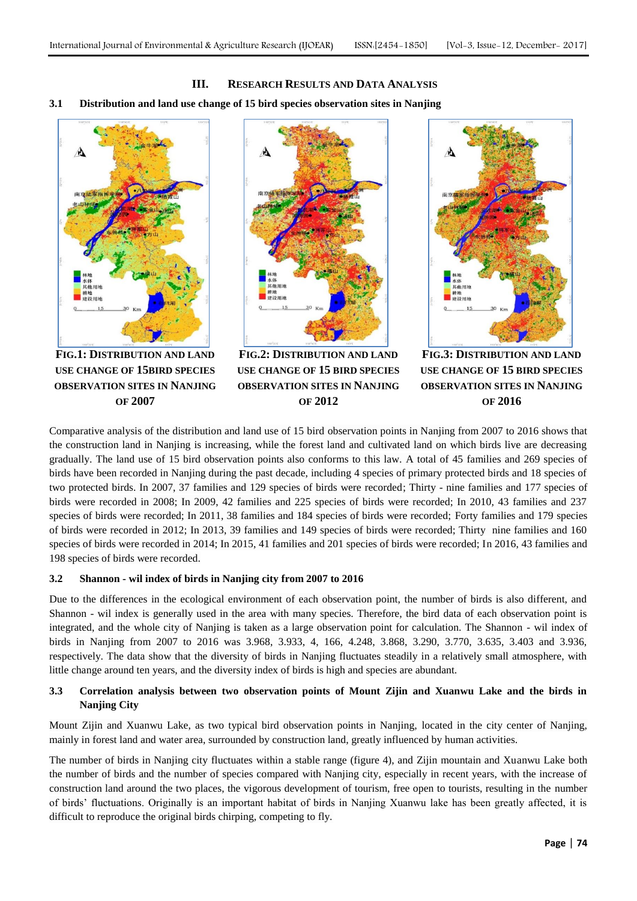**III. RESEARCH RESULTS AND DATA ANALYSIS**

## **3.1 Distribution and land use change of 15 bird species observation sites in Nanjing**



**FIG.1: DISTRIBUTION AND LAND USE CHANGE OF 15BIRD SPECIES OBSERVATION SITES IN NANJING OF 2007**



**FIG.2: DISTRIBUTION AND LAND USE CHANGE OF 15 BIRD SPECIES OBSERVATION SITES IN NANJING OF 2012**



**FIG.3: DISTRIBUTION AND LAND USE CHANGE OF 15 BIRD SPECIES OBSERVATION SITES IN NANJING OF 2016**

Comparative analysis of the distribution and land use of 15 bird observation points in Nanjing from 2007 to 2016 shows that the construction land in Nanjing is increasing, while the forest land and cultivated land on which birds live are decreasing gradually. The land use of 15 bird observation points also conforms to this law. A total of 45 families and 269 species of birds have been recorded in Nanjing during the past decade, including 4 species of primary protected birds and 18 species of two protected birds. In 2007, 37 families and 129 species of birds were recorded; Thirty - nine families and 177 species of birds were recorded in 2008; In 2009, 42 families and 225 species of birds were recorded; In 2010, 43 families and 237 species of birds were recorded; In 2011, 38 families and 184 species of birds were recorded; Forty families and 179 species of birds were recorded in 2012; In 2013, 39 families and 149 species of birds were recorded; Thirty nine families and 160 species of birds were recorded in 2014; In 2015, 41 families and 201 species of birds were recorded; In 2016, 43 families and 198 species of birds were recorded.

## **3.2 Shannon - wil index of birds in Nanjing city from 2007 to 2016**

Due to the differences in the ecological environment of each observation point, the number of birds is also different, and Shannon - wil index is generally used in the area with many species. Therefore, the bird data of each observation point is integrated, and the whole city of Nanjing is taken as a large observation point for calculation. The Shannon - wil index of birds in Nanjing from 2007 to 2016 was 3.968, 3.933, 4, 166, 4.248, 3.868, 3.290, 3.770, 3.635, 3.403 and 3.936, respectively. The data show that the diversity of birds in Nanjing fluctuates steadily in a relatively small atmosphere, with little change around ten years, and the diversity index of birds is high and species are abundant.

# **3.3 Correlation analysis between two observation points of Mount Zijin and Xuanwu Lake and the birds in Nanjing City**

Mount Zijin and Xuanwu Lake, as two typical bird observation points in Nanjing, located in the city center of Nanjing, mainly in forest land and water area, surrounded by construction land, greatly influenced by human activities.

The number of birds in Nanjing city fluctuates within a stable range (figure 4), and Zijin mountain and Xuanwu Lake both the number of birds and the number of species compared with Nanjing city, especially in recent years, with the increase of construction land around the two places, the vigorous development of tourism, free open to tourists, resulting in the number of birds' fluctuations. Originally is an important habitat of birds in Nanjing Xuanwu lake has been greatly affected, it is difficult to reproduce the original birds chirping, competing to fly.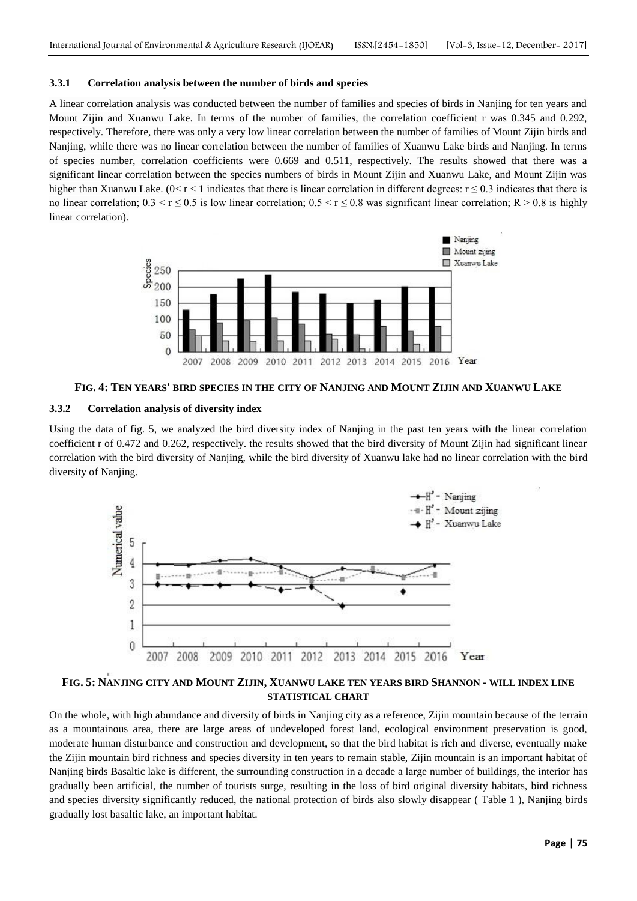#### **3.3.1 Correlation analysis between the number of birds and species**

A linear correlation analysis was conducted between the number of families and species of birds in Nanjing for ten years and Mount Zijin and Xuanwu Lake. In terms of the number of families, the correlation coefficient r was 0.345 and 0.292, respectively. Therefore, there was only a very low linear correlation between the number of families of Mount Zijin birds and Nanjing, while there was no linear correlation between the number of families of Xuanwu Lake birds and Nanjing. In terms of species number, correlation coefficients were 0.669 and 0.511, respectively. The results showed that there was a significant linear correlation between the species numbers of birds in Mount Zijin and Xuanwu Lake, and Mount Zijin was higher than Xuanwu Lake. ( $0 < r < 1$  indicates that there is linear correlation in different degrees:  $r \le 0.3$  indicates that there is no linear correlation;  $0.3 < r \le 0.5$  is low linear correlation;  $0.5 < r \le 0.8$  was significant linear correlation; R > 0.8 is highly linear correlation).



# **FIG. 4: TEN YEARS' BIRD SPECIES IN THE CITY OF NANJING AND MOUNT ZIJIN AND XUANWU LAKE**

#### **3.3.2 Correlation analysis of diversity index**

Using the data of fig. 5, we analyzed the bird diversity index of Nanjing in the past ten years with the linear correlation coefficient r of 0.472 and 0.262, respectively. the results showed that the bird diversity of Mount Zijin had significant linear correlation with the bird diversity of Nanjing, while the bird diversity of Xuanwu lake had no linear correlation with the bird diversity of Nanjing.



# **FIG. 5: NANJING CITY AND MOUNT ZIJIN, XUANWU LAKE TEN YEARS BIRD SHANNON - WILL INDEX LINE STATISTICAL CHART**

On the whole, with high abundance and diversity of birds in Nanjing city as a reference, Zijin mountain because of the terrain as a mountainous area, there are large areas of undeveloped forest land, ecological environment preservation is good, moderate human disturbance and construction and development, so that the bird habitat is rich and diverse, eventually make the Zijin mountain bird richness and species diversity in ten years to remain stable, Zijin mountain is an important habitat of Nanjing birds Basaltic lake is different, the surrounding construction in a decade a large number of buildings, the interior has gradually been artificial, the number of tourists surge, resulting in the loss of bird original diversity habitats, bird richness and species diversity significantly reduced, the national protection of birds also slowly disappear ( Table 1 ), Nanjing birds gradually lost basaltic lake, an important habitat.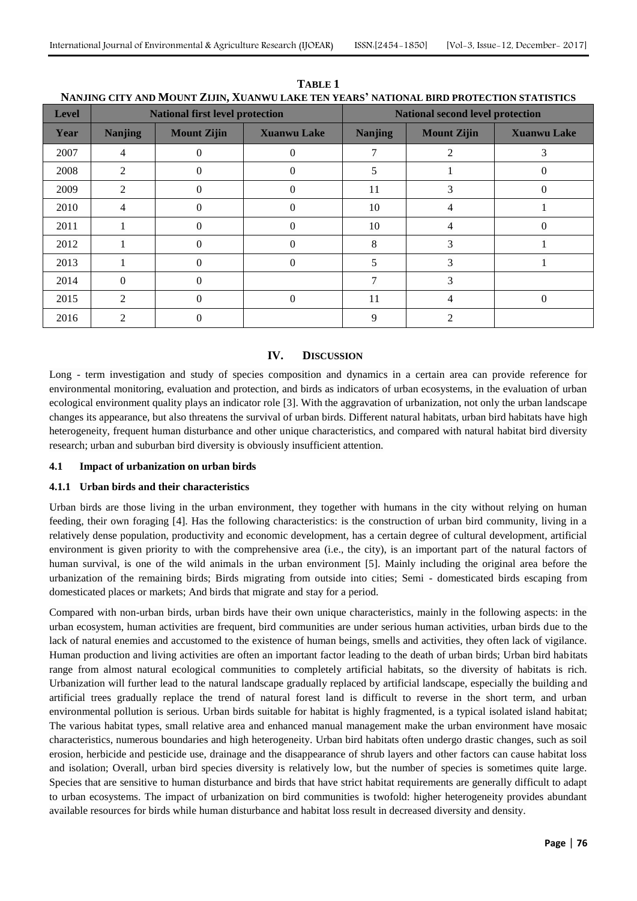| <b>Level</b> | <b>National first level protection</b> |                    |                    | <b>National second level protection</b> |                    |                    |
|--------------|----------------------------------------|--------------------|--------------------|-----------------------------------------|--------------------|--------------------|
| Year         | <b>Nanjing</b>                         | <b>Mount Zijin</b> | <b>Xuanwu Lake</b> | <b>Nanjing</b>                          | <b>Mount Zijin</b> | <b>Xuanwu Lake</b> |
| 2007         | 4                                      |                    |                    |                                         |                    | 3                  |
| 2008         | $\mathcal{D}_{\mathcal{L}}$            |                    |                    |                                         |                    |                    |
| 2009         | 2                                      | 0                  |                    | 11                                      | L,                 |                    |
| 2010         | 4                                      | $\Omega$           | 0                  | 10                                      |                    |                    |
| 2011         |                                        | $\Omega$           | 0                  | 10                                      |                    | 0                  |
| 2012         |                                        | $\Omega$           | 0                  | 8                                       | 3                  |                    |
| 2013         |                                        | 0                  | $\Omega$           |                                         | 3                  |                    |
| 2014         | $\Omega$                               | 0                  |                    |                                         | 3                  |                    |
| 2015         | 2                                      | $\Omega$           | $\Omega$           | 11                                      | 4                  | $\Omega$           |
| 2016         | $\mathcal{D}$                          |                    |                    | 9                                       |                    |                    |

**TABLE 1 NANJING CITY AND MOUNT ZIJIN, XUANWU LAKE TEN YEARS' NATIONAL BIRD PROTECTION STATISTICS**

# **IV. DISCUSSION**

Long - term investigation and study of species composition and dynamics in a certain area can provide reference for environmental monitoring, evaluation and protection, and birds as indicators of urban ecosystems, in the evaluation of urban ecological environment quality plays an indicator role [3]. With the aggravation of urbanization, not only the urban landscape changes its appearance, but also threatens the survival of urban birds. Different natural habitats, urban bird habitats have high heterogeneity, frequent human disturbance and other unique characteristics, and compared with natural habitat bird diversity research; urban and suburban bird diversity is obviously insufficient attention.

# **4.1 Impact of urbanization on urban birds**

## **4.1.1 Urban birds and their characteristics**

Urban birds are those living in the urban environment, they together with humans in the city without relying on human feeding, their own foraging [4]. Has the following characteristics: is the construction of urban bird community, living in a relatively dense population, productivity and economic development, has a certain degree of cultural development, artificial environment is given priority to with the comprehensive area (i.e., the city), is an important part of the natural factors of human survival, is one of the wild animals in the urban environment [5]. Mainly including the original area before the urbanization of the remaining birds; Birds migrating from outside into cities; Semi - domesticated birds escaping from domesticated places or markets; And birds that migrate and stay for a period.

Compared with non-urban birds, urban birds have their own unique characteristics, mainly in the following aspects: in the urban ecosystem, human activities are frequent, bird communities are under serious human activities, urban birds due to the lack of natural enemies and accustomed to the existence of human beings, smells and activities, they often lack of vigilance. Human production and living activities are often an important factor leading to the death of urban birds; Urban bird habitats range from almost natural ecological communities to completely artificial habitats, so the diversity of habitats is rich. Urbanization will further lead to the natural landscape gradually replaced by artificial landscape, especially the building and artificial trees gradually replace the trend of natural forest land is difficult to reverse in the short term, and urban environmental pollution is serious. Urban birds suitable for habitat is highly fragmented, is a typical isolated island habitat; The various habitat types, small relative area and enhanced manual management make the urban environment have mosaic characteristics, numerous boundaries and high heterogeneity. Urban bird habitats often undergo drastic changes, such as soil erosion, herbicide and pesticide use, drainage and the disappearance of shrub layers and other factors can cause habitat loss and isolation; Overall, urban bird species diversity is relatively low, but the number of species is sometimes quite large. Species that are sensitive to human disturbance and birds that have strict habitat requirements are generally difficult to adapt to urban ecosystems. The impact of urbanization on bird communities is twofold: higher heterogeneity provides abundant available resources for birds while human disturbance and habitat loss result in decreased diversity and density.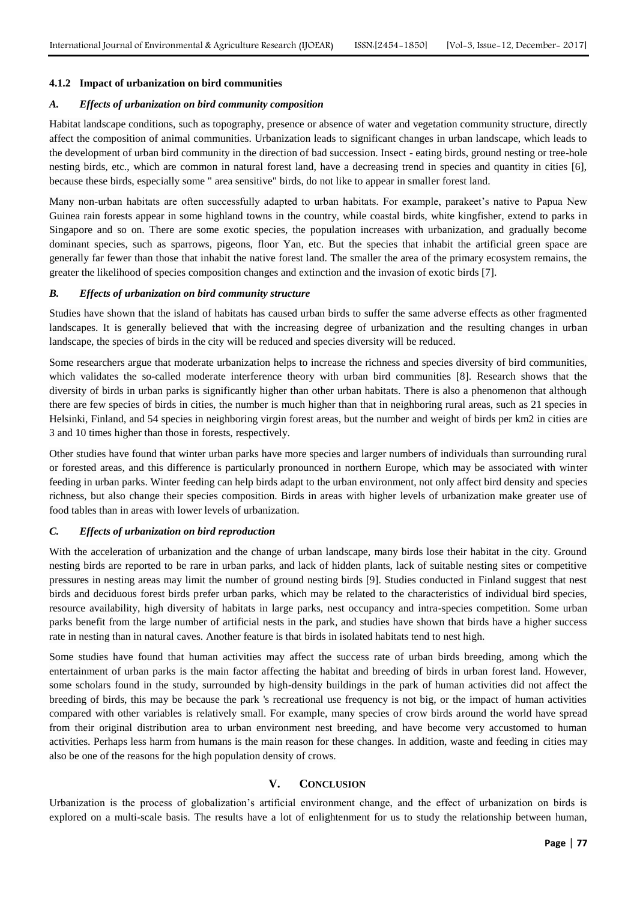## **4.1.2 Impact of urbanization on bird communities**

#### *A. Effects of urbanization on bird community composition*

Habitat landscape conditions, such as topography, presence or absence of water and vegetation community structure, directly affect the composition of animal communities. Urbanization leads to significant changes in urban landscape, which leads to the development of urban bird community in the direction of bad succession. Insect - eating birds, ground nesting or tree-hole nesting birds, etc., which are common in natural forest land, have a decreasing trend in species and quantity in cities [6], because these birds, especially some " area sensitive" birds, do not like to appear in smaller forest land.

Many non-urban habitats are often successfully adapted to urban habitats. For example, parakeet's native to Papua New Guinea rain forests appear in some highland towns in the country, while coastal birds, white kingfisher, extend to parks in Singapore and so on. There are some exotic species, the population increases with urbanization, and gradually become dominant species, such as sparrows, pigeons, floor Yan, etc. But the species that inhabit the artificial green space are generally far fewer than those that inhabit the native forest land. The smaller the area of the primary ecosystem remains, the greater the likelihood of species composition changes and extinction and the invasion of exotic birds [7].

#### *B. Effects of urbanization on bird community structure*

Studies have shown that the island of habitats has caused urban birds to suffer the same adverse effects as other fragmented landscapes. It is generally believed that with the increasing degree of urbanization and the resulting changes in urban landscape, the species of birds in the city will be reduced and species diversity will be reduced.

Some researchers argue that moderate urbanization helps to increase the richness and species diversity of bird communities, which validates the so-called moderate interference theory with urban bird communities [8]. Research shows that the diversity of birds in urban parks is significantly higher than other urban habitats. There is also a phenomenon that although there are few species of birds in cities, the number is much higher than that in neighboring rural areas, such as 21 species in Helsinki, Finland, and 54 species in neighboring virgin forest areas, but the number and weight of birds per km2 in cities are 3 and 10 times higher than those in forests, respectively.

Other studies have found that winter urban parks have more species and larger numbers of individuals than surrounding rural or forested areas, and this difference is particularly pronounced in northern Europe, which may be associated with winter feeding in urban parks. Winter feeding can help birds adapt to the urban environment, not only affect bird density and species richness, but also change their species composition. Birds in areas with higher levels of urbanization make greater use of food tables than in areas with lower levels of urbanization.

#### *C. Effects of urbanization on bird reproduction*

With the acceleration of urbanization and the change of urban landscape, many birds lose their habitat in the city. Ground nesting birds are reported to be rare in urban parks, and lack of hidden plants, lack of suitable nesting sites or competitive pressures in nesting areas may limit the number of ground nesting birds [9]. Studies conducted in Finland suggest that nest birds and deciduous forest birds prefer urban parks, which may be related to the characteristics of individual bird species, resource availability, high diversity of habitats in large parks, nest occupancy and intra-species competition. Some urban parks benefit from the large number of artificial nests in the park, and studies have shown that birds have a higher success rate in nesting than in natural caves. Another feature is that birds in isolated habitats tend to nest high.

Some studies have found that human activities may affect the success rate of urban birds breeding, among which the entertainment of urban parks is the main factor affecting the habitat and breeding of birds in urban forest land. However, some scholars found in the study, surrounded by high-density buildings in the park of human activities did not affect the breeding of birds, this may be because the park 's recreational use frequency is not big, or the impact of human activities compared with other variables is relatively small. For example, many species of crow birds around the world have spread from their original distribution area to urban environment nest breeding, and have become very accustomed to human activities. Perhaps less harm from humans is the main reason for these changes. In addition, waste and feeding in cities may also be one of the reasons for the high population density of crows.

## **V. CONCLUSION**

Urbanization is the process of globalization's artificial environment change, and the effect of urbanization on birds is explored on a multi-scale basis. The results have a lot of enlightenment for us to study the relationship between human,